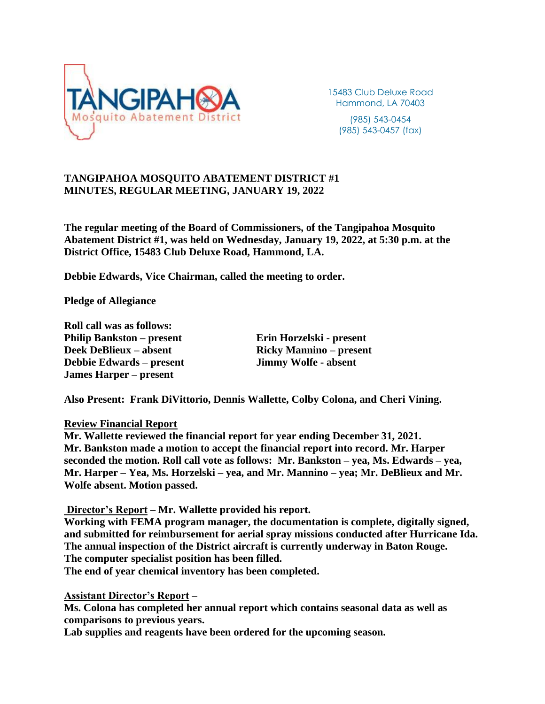

15483 Club Deluxe Road Hammond, LA 70403 (985) 543-0454 (985) 543-0457 (fax)

# **TANGIPAHOA MOSQUITO ABATEMENT DISTRICT #1 MINUTES, REGULAR MEETING, JANUARY 19, 2022**

**The regular meeting of the Board of Commissioners, of the Tangipahoa Mosquito Abatement District #1, was held on Wednesday, January 19, 2022, at 5:30 p.m. at the District Office, 15483 Club Deluxe Road, Hammond, LA.**

**Debbie Edwards, Vice Chairman, called the meeting to order.**

**Pledge of Allegiance**

**Roll call was as follows: Philip Bankston – present Erin Horzelski - present Deek DeBlieux – absent Ricky Mannino – present Debbie Edwards – present Jimmy Wolfe - absent James Harper – present**

**Also Present: Frank DiVittorio, Dennis Wallette, Colby Colona, and Cheri Vining.**

#### **Review Financial Report**

**Mr. Wallette reviewed the financial report for year ending December 31, 2021. Mr. Bankston made a motion to accept the financial report into record. Mr. Harper seconded the motion. Roll call vote as follows: Mr. Bankston – yea, Ms. Edwards – yea, Mr. Harper – Yea, Ms. Horzelski – yea, and Mr. Mannino – yea; Mr. DeBlieux and Mr. Wolfe absent. Motion passed.**

**Director's Report – Mr. Wallette provided his report.**

**Working with FEMA program manager, the documentation is complete, digitally signed, and submitted for reimbursement for aerial spray missions conducted after Hurricane Ida. The annual inspection of the District aircraft is currently underway in Baton Rouge. The computer specialist position has been filled.**

**The end of year chemical inventory has been completed.**

**Assistant Director's Report –**

**Ms. Colona has completed her annual report which contains seasonal data as well as comparisons to previous years.**

**Lab supplies and reagents have been ordered for the upcoming season.**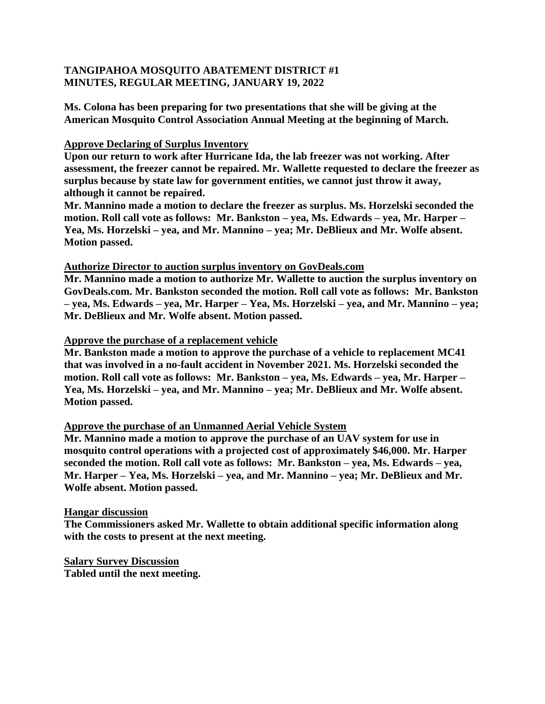# **TANGIPAHOA MOSQUITO ABATEMENT DISTRICT #1 MINUTES, REGULAR MEETING, JANUARY 19, 2022**

**Ms. Colona has been preparing for two presentations that she will be giving at the American Mosquito Control Association Annual Meeting at the beginning of March.**

### **Approve Declaring of Surplus Inventory**

**Upon our return to work after Hurricane Ida, the lab freezer was not working. After assessment, the freezer cannot be repaired. Mr. Wallette requested to declare the freezer as surplus because by state law for government entities, we cannot just throw it away, although it cannot be repaired.**

**Mr. Mannino made a motion to declare the freezer as surplus. Ms. Horzelski seconded the motion. Roll call vote as follows: Mr. Bankston – yea, Ms. Edwards – yea, Mr. Harper – Yea, Ms. Horzelski – yea, and Mr. Mannino – yea; Mr. DeBlieux and Mr. Wolfe absent. Motion passed.**

### **Authorize Director to auction surplus inventory on GovDeals.com**

**Mr. Mannino made a motion to authorize Mr. Wallette to auction the surplus inventory on GovDeals.com. Mr. Bankston seconded the motion. Roll call vote as follows: Mr. Bankston – yea, Ms. Edwards – yea, Mr. Harper – Yea, Ms. Horzelski – yea, and Mr. Mannino – yea; Mr. DeBlieux and Mr. Wolfe absent. Motion passed.**

### **Approve the purchase of a replacement vehicle**

**Mr. Bankston made a motion to approve the purchase of a vehicle to replacement MC41 that was involved in a no-fault accident in November 2021. Ms. Horzelski seconded the motion. Roll call vote as follows: Mr. Bankston – yea, Ms. Edwards – yea, Mr. Harper – Yea, Ms. Horzelski – yea, and Mr. Mannino – yea; Mr. DeBlieux and Mr. Wolfe absent. Motion passed.**

### **Approve the purchase of an Unmanned Aerial Vehicle System**

**Mr. Mannino made a motion to approve the purchase of an UAV system for use in mosquito control operations with a projected cost of approximately \$46,000. Mr. Harper seconded the motion. Roll call vote as follows: Mr. Bankston – yea, Ms. Edwards – yea, Mr. Harper – Yea, Ms. Horzelski – yea, and Mr. Mannino – yea; Mr. DeBlieux and Mr. Wolfe absent. Motion passed.**

#### **Hangar discussion**

**The Commissioners asked Mr. Wallette to obtain additional specific information along with the costs to present at the next meeting.**

**Salary Survey Discussion Tabled until the next meeting.**